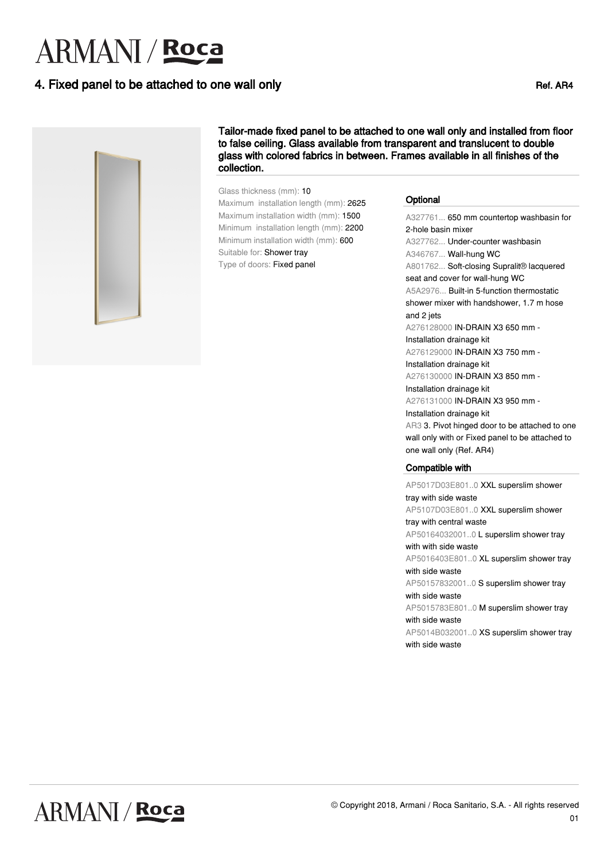# **ARMANI** / Roca

#### 4. Fixed panel to be attached to one wall only Ref. AR4



Tailor-made fixed panel to be attached to one wall only and installed from floor to false ceiling. Glass available from transparent and translucent to double glass with colored fabrics in between. Frames available in all finishes of the collection.

Glass thickness (mm): 10 Maximum installation length (mm): 2625 Maximum installation width (mm): 1500 Minimum installation length (mm): 2200 Minimum installation width (mm): 600 Suitable for: Shower tray Type of doors: Fixed panel

#### **Optional**

A327761... 650 mm countertop washbasin for 2-hole basin mixer A327762... Under-counter washbasin A346767... Wall-hung WC A801762... Soft-closing Supralit® lacquered seat and cover for wall-hung WC A5A2976... Built-in 5-function thermostatic shower mixer with handshower, 1.7 m hose and 2 jets A276128000 IN-DRAIN X3 650 mm - Installation drainage kit A276129000 IN-DRAIN X3 750 mm - Installation drainage kit A276130000 IN-DRAIN X3 850 mm - Installation drainage kit A276131000 IN-DRAIN X3 950 mm - Installation drainage kit AR3 3. Pivot hinged door to be attached to one wall only with or Fixed panel to be attached to one wall only (Ref. AR4) Compatible with AP5017D03E801..0 XXL superslim shower tray with side waste AP5107D03E801..0 XXL superslim shower tray with central waste AP50164032001..0 L superslim shower tray with with side waste

AP5016403E801..0 XL superslim shower tray with side waste

AP50157832001..0 S superslim shower tray with side waste

AP5015783E801..0 M superslim shower tray with side waste

AP5014B032001..0 XS superslim shower tray with side waste

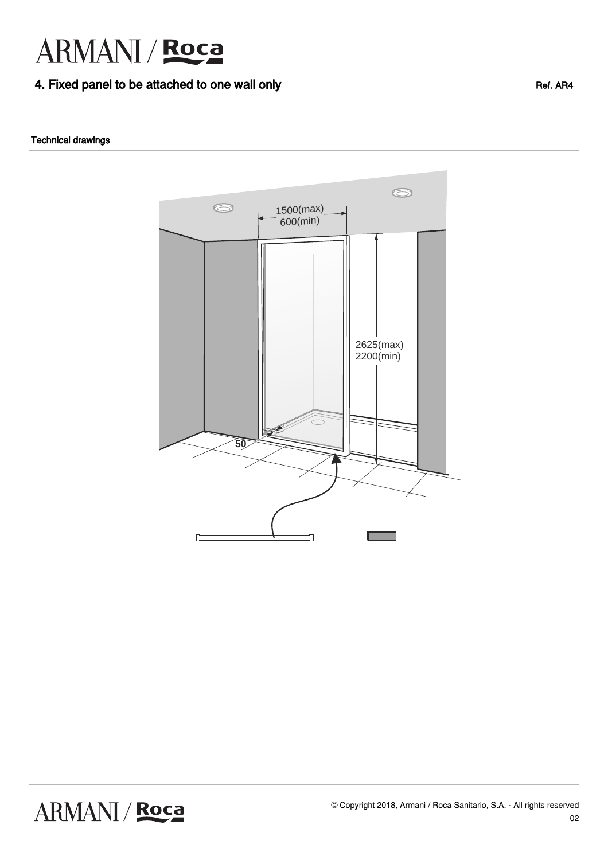### ARMANI / Roca

### 4. Fixed panel to be attached to one wall only Ref. AR4

#### Technical drawings



ARMANI / Roca